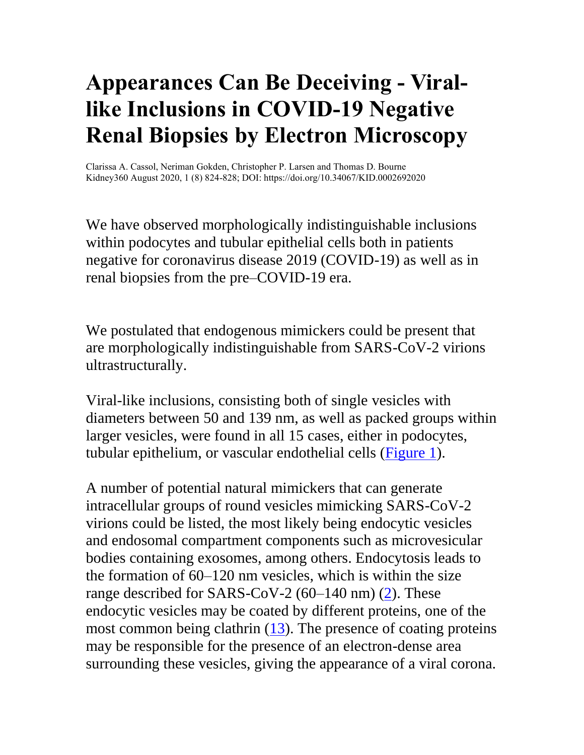## **Appearances Can Be Deceiving - Virallike Inclusions in COVID-19 Negative Renal Biopsies by Electron Microscopy**

Clarissa A. Cassol, Neriman Gokden, Christopher P. Larsen and Thomas D. Bourne Kidney360 August 2020, 1 (8) 824-828; DOI: https://doi.org/10.34067/KID.0002692020

We have observed morphologically indistinguishable inclusions within podocytes and tubular epithelial cells both in patients negative for coronavirus disease 2019 (COVID-19) as well as in renal biopsies from the pre–COVID-19 era.

We postulated that endogenous mimickers could be present that are morphologically indistinguishable from SARS-CoV-2 virions ultrastructurally.

Viral-like inclusions, consisting both of single vesicles with diameters between 50 and 139 nm, as well as packed groups within larger vesicles, were found in all 15 cases, either in podocytes, tubular epithelium, or vascular endothelial cells [\(Figure 1\)](https://kidney360.asnjournals.org/content/1/8/824#F1).

A number of potential natural mimickers that can generate intracellular groups of round vesicles mimicking SARS-CoV-2 virions could be listed, the most likely being endocytic vesicles and endosomal compartment components such as microvesicular bodies containing exosomes, among others. Endocytosis leads to the formation of 60–120 nm vesicles, which is within the size range described for SARS-CoV-2  $(60-140 \text{ nm})$   $(2)$ . These endocytic vesicles may be coated by different proteins, one of the most common being clathrin [\(13\)](https://kidney360.asnjournals.org/content/1/8/824#ref-13). The presence of coating proteins may be responsible for the presence of an electron-dense area surrounding these vesicles, giving the appearance of a viral corona.